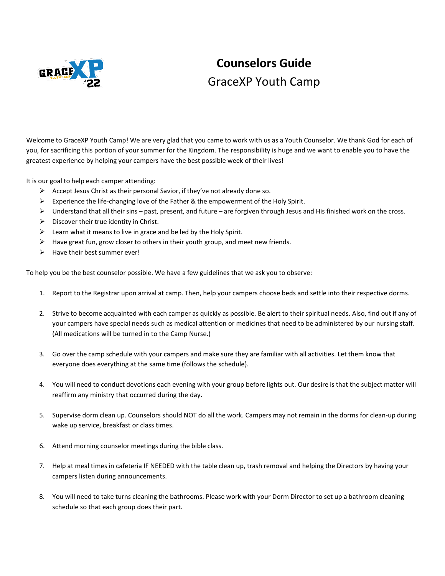

## **Counselors Guide** GraceXP Youth Camp

Welcome to GraceXP Youth Camp! We are very glad that you came to work with us as a Youth Counselor. We thank God for each of you, for sacrificing this portion of your summer for the Kingdom. The responsibility is huge and we want to enable you to have the greatest experience by helping your campers have the best possible week of their lives!

It is our goal to help each camper attending:

- ➢ Accept Jesus Christ as their personal Savior, if they've not already done so.
- $\triangleright$  Experience the life-changing love of the Father & the empowerment of the Holy Spirit.
- $\triangleright$  Understand that all their sins past, present, and future are forgiven through Jesus and His finished work on the cross.
- $\triangleright$  Discover their true identity in Christ.
- $\triangleright$  Learn what it means to live in grace and be led by the Holy Spirit.
- $\triangleright$  Have great fun, grow closer to others in their youth group, and meet new friends.
- $\triangleright$  Have their best summer ever!

To help you be the best counselor possible. We have a few guidelines that we ask you to observe:

- 1. Report to the Registrar upon arrival at camp. Then, help your campers choose beds and settle into their respective dorms.
- 2. Strive to become acquainted with each camper as quickly as possible. Be alert to their spiritual needs. Also, find out if any of your campers have special needs such as medical attention or medicines that need to be administered by our nursing staff. (All medications will be turned in to the Camp Nurse.)
- 3. Go over the camp schedule with your campers and make sure they are familiar with all activities. Let them know that everyone does everything at the same time (follows the schedule).
- 4. You will need to conduct devotions each evening with your group before lights out. Our desire is that the subject matter will reaffirm any ministry that occurred during the day.
- 5. Supervise dorm clean up. Counselors should NOT do all the work. Campers may not remain in the dorms for clean-up during wake up service, breakfast or class times.
- 6. Attend morning counselor meetings during the bible class.
- 7. Help at meal times in cafeteria IF NEEDED with the table clean up, trash removal and helping the Directors by having your campers listen during announcements.
- 8. You will need to take turns cleaning the bathrooms. Please work with your Dorm Director to set up a bathroom cleaning schedule so that each group does their part.